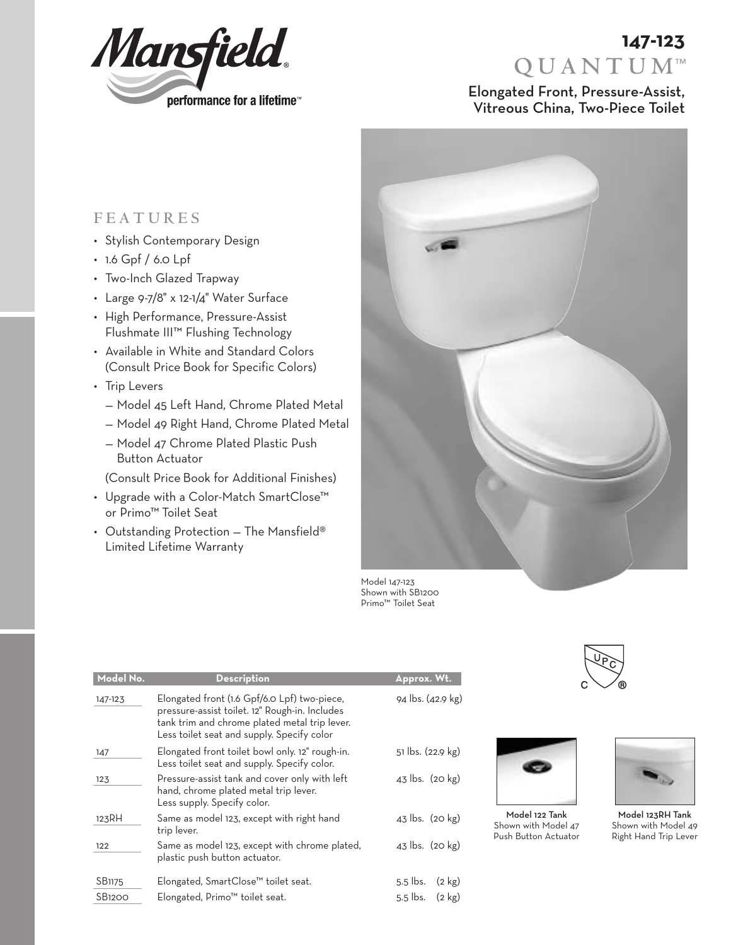

# **QUANTUM**™ **147-123**

## Elongated Front, Pressure-Assist, Vitreous China, Two-Piece Toilet

## **FEATURES**

- Stylish Contemporary Design
- 1.6 Gpf / 6.0 Lpf
- Two-Inch Glazed Trapway
- Large 9-7/8" x 12-1/4" Water Surface
- High Performance, Pressure-Assist Flushmate III™ Flushing Technology
- Available in White and Standard Colors (Consult Price Book for Specific Colors)
- Trip Levers
	- Model 45 Left Hand, Chrome Plated Metal
	- Model 49 Right Hand, Chrome Plated Metal
	- Model 47 Chrome Plated Plastic Push Button Actuator

(Consult Price Book for Additional Finishes)

- Upgrade with a Color-Match SmartClose™ or Primo™ Toilet Seat
- Outstanding Protection The Mansfield® Limited Lifetime Warranty



Model 147-123 Shown with SB1200 Primo™ Toilet Seat



| Model No.     | <b>Description</b>                                                                                                                                                                            | Approx. Wt.                    |
|---------------|-----------------------------------------------------------------------------------------------------------------------------------------------------------------------------------------------|--------------------------------|
| 147-123       | Elongated front (1.6 Gpf/6.0 Lpf) two-piece,<br>pressure-assist toilet. 12" Rough-in. Includes<br>tank trim and chrome plated metal trip lever.<br>Less toilet seat and supply. Specify color | 94 lbs. (42.9 kg)              |
| 147           | Elongated front toilet bowl only. 12" rough-in.<br>Less toilet seat and supply. Specify color.                                                                                                | 51 lbs. (22.9 kg)              |
| 123           | Pressure-assist tank and cover only with left<br>hand, chrome plated metal trip lever.<br>Less supply. Specify color.                                                                         | 43 lbs. (20 kg)                |
| 123RH         | Same as model 123, except with right hand<br>trip lever.                                                                                                                                      | 43 lbs. (20 kg)                |
| 122           | Same as model 123, except with chrome plated,<br>plastic push button actuator.                                                                                                                | 43 lbs. (20 kg)                |
| SB1175        | Elongated, SmartClose™ toilet seat.                                                                                                                                                           | $5.5$ lbs.<br>$(2 \text{ kg})$ |
| <b>SB1200</b> | Elongated, Primo <sup>™</sup> toilet seat.                                                                                                                                                    | $5.5$ lbs.<br>$(2 \text{ kg})$ |



Model 122 Tank Shown with Model 47 Push Button Actuator

Model 123RH Tank Shown with Model 49 Right Hand Trip Lever